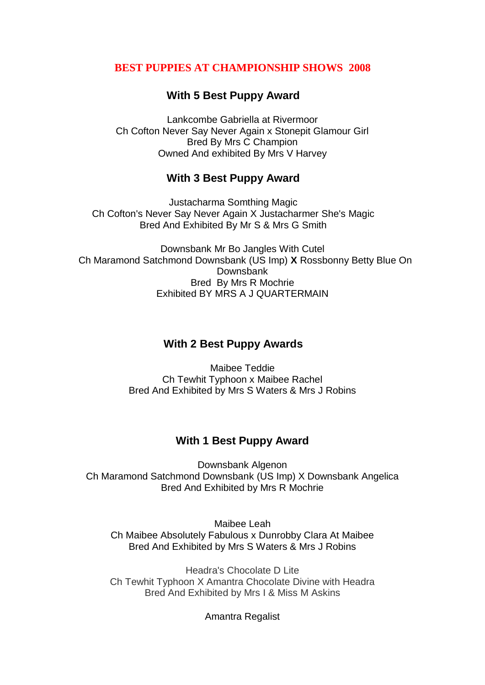### **BEST PUPPIES AT CHAMPIONSHIP SHOWS 2008**

# **With 5 Best Puppy Award**

Lankcombe Gabriella at Rivermoor Ch Cofton Never Say Never Again x Stonepit Glamour Girl Bred By Mrs C Champion Owned And exhibited By Mrs V Harvey

## **With 3 Best Puppy Award**

Justacharma Somthing Magic Ch Cofton's Never Say Never Again X Justacharmer She's Magic Bred And Exhibited By Mr S & Mrs G Smith

Downsbank Mr Bo Jangles With Cutel Ch Maramond Satchmond Downsbank (US Imp) **X** Rossbonny Betty Blue On Downsbank Bred By Mrs R Mochrie Exhibited BY MRS A J QUARTERMAIN

### **With 2 Best Puppy Awards**

Maibee Teddie Ch Tewhit Typhoon x Maibee Rachel Bred And Exhibited by Mrs S Waters & Mrs J Robins

### **With 1 Best Puppy Award**

Downsbank Algenon Ch Maramond Satchmond Downsbank (US Imp) X Downsbank Angelica Bred And Exhibited by Mrs R Mochrie

Maibee Leah Ch Maibee Absolutely Fabulous x Dunrobby Clara At Maibee Bred And Exhibited by Mrs S Waters & Mrs J Robins

Headra's Chocolate D Lite Ch Tewhit Typhoon X Amantra Chocolate Divine with Headra Bred And Exhibited by Mrs I & Miss M Askins

Amantra Regalist